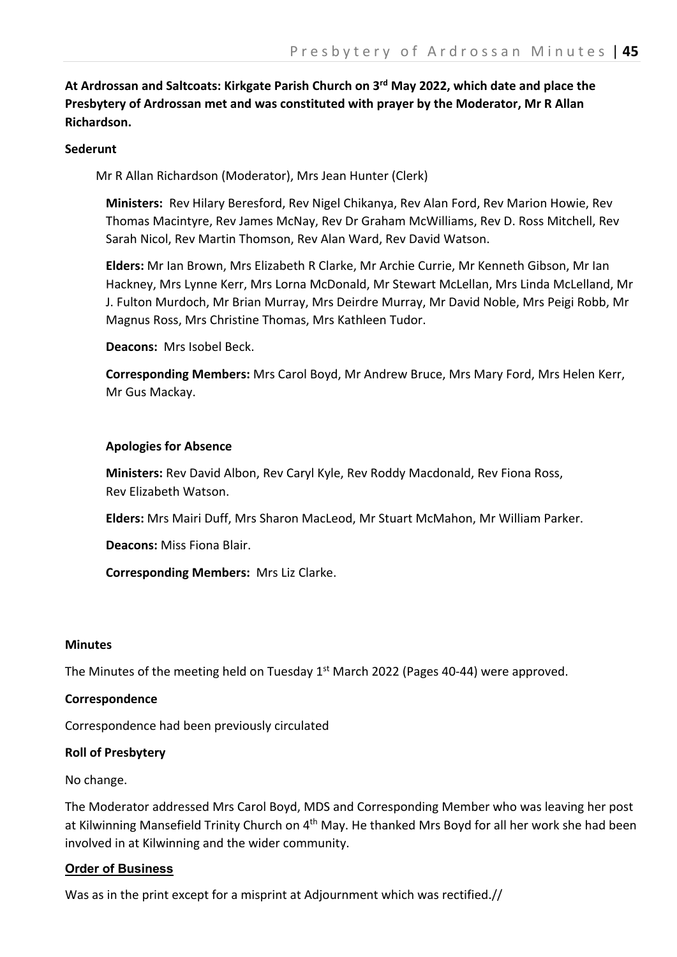**At Ardrossan and Saltcoats: Kirkgate Parish Church on 3rd May 2022, which date and place the Presbytery of Ardrossan met and was constituted with prayer by the Moderator, Mr R Allan Richardson.**

#### **Sederunt**

Mr R Allan Richardson (Moderator), Mrs Jean Hunter (Clerk)

**Ministers:** Rev Hilary Beresford, Rev Nigel Chikanya, Rev Alan Ford, Rev Marion Howie, Rev Thomas Macintyre, Rev James McNay, Rev Dr Graham McWilliams, Rev D. Ross Mitchell, Rev Sarah Nicol, Rev Martin Thomson, Rev Alan Ward, Rev David Watson.

**Elders:** Mr Ian Brown, Mrs Elizabeth R Clarke, Mr Archie Currie, Mr Kenneth Gibson, Mr Ian Hackney, Mrs Lynne Kerr, Mrs Lorna McDonald, Mr Stewart McLellan, Mrs Linda McLelland, Mr J. Fulton Murdoch, Mr Brian Murray, Mrs Deirdre Murray, Mr David Noble, Mrs Peigi Robb, Mr Magnus Ross, Mrs Christine Thomas, Mrs Kathleen Tudor.

**Deacons:** Mrs Isobel Beck.

**Corresponding Members:** Mrs Carol Boyd, Mr Andrew Bruce, Mrs Mary Ford, Mrs Helen Kerr, Mr Gus Mackay.

#### **Apologies for Absence**

**Ministers:** Rev David Albon, Rev Caryl Kyle, Rev Roddy Macdonald, Rev Fiona Ross, Rev Elizabeth Watson.

**Elders:** Mrs Mairi Duff, Mrs Sharon MacLeod, Mr Stuart McMahon, Mr William Parker.

**Deacons:** Miss Fiona Blair.

**Corresponding Members:** Mrs Liz Clarke.

#### **Minutes**

The Minutes of the meeting held on Tuesday  $1<sup>st</sup>$  March 2022 (Pages 40-44) were approved.

#### **Correspondence**

Correspondence had been previously circulated

### **Roll of Presbytery**

No change.

The Moderator addressed Mrs Carol Boyd, MDS and Corresponding Member who was leaving her post at Kilwinning Mansefield Trinity Church on 4<sup>th</sup> May. He thanked Mrs Boyd for all her work she had been involved in at Kilwinning and the wider community.

### **Order of Business**

Was as in the print except for a misprint at Adjournment which was rectified.//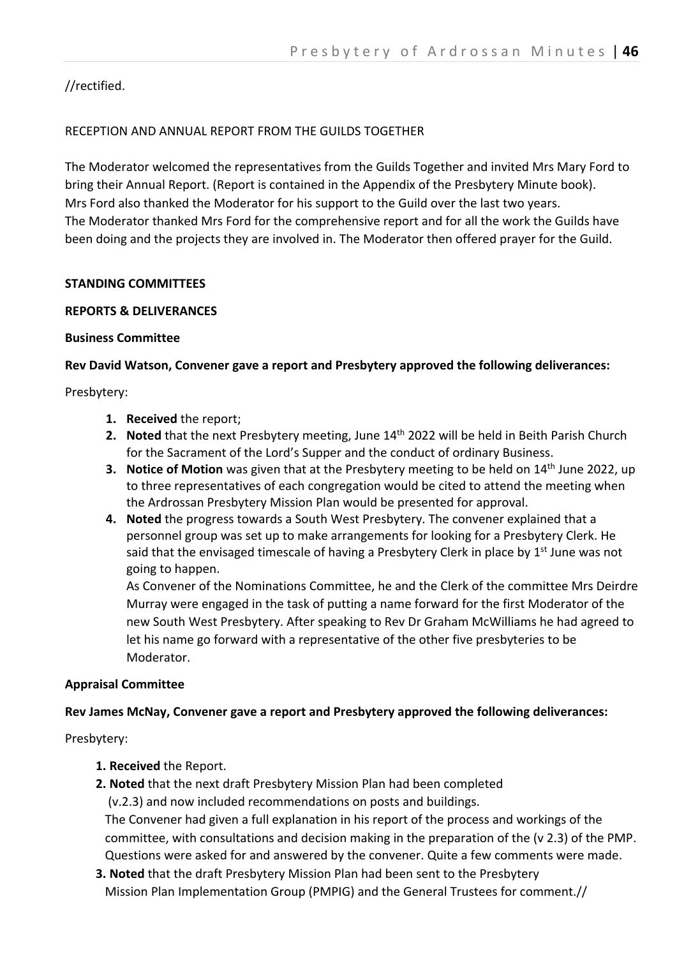//rectified.

## RECEPTION AND ANNUAL REPORT FROM THE GUILDS TOGETHER

The Moderator welcomed the representatives from the Guilds Together and invited Mrs Mary Ford to bring their Annual Report. (Report is contained in the Appendix of the Presbytery Minute book). Mrs Ford also thanked the Moderator for his support to the Guild over the last two years. The Moderator thanked Mrs Ford for the comprehensive report and for all the work the Guilds have been doing and the projects they are involved in. The Moderator then offered prayer for the Guild.

### **STANDING COMMITTEES**

### **REPORTS & DELIVERANCES**

#### **Business Committee**

### **Rev David Watson, Convener gave a report and Presbytery approved the following deliverances:**

Presbytery:

- **1. Received** the report;
- **2. Noted** that the next Presbytery meeting, June 14th 2022 will be held in Beith Parish Church for the Sacrament of the Lord's Supper and the conduct of ordinary Business.
- **3. Notice of Motion** was given that at the Presbytery meeting to be held on 14<sup>th</sup> June 2022, up to three representatives of each congregation would be cited to attend the meeting when the Ardrossan Presbytery Mission Plan would be presented for approval.
- **4. Noted** the progress towards a South West Presbytery. The convener explained that a personnel group was set up to make arrangements for looking for a Presbytery Clerk. He said that the envisaged timescale of having a Presbytery Clerk in place by  $1<sup>st</sup>$  June was not going to happen.

As Convener of the Nominations Committee, he and the Clerk of the committee Mrs Deirdre Murray were engaged in the task of putting a name forward for the first Moderator of the new South West Presbytery. After speaking to Rev Dr Graham McWilliams he had agreed to let his name go forward with a representative of the other five presbyteries to be Moderator.

### **Appraisal Committee**

### **Rev James McNay, Convener gave a report and Presbytery approved the following deliverances:**

Presbytery:

- **1. Received** the Report.
- **2. Noted** that the next draft Presbytery Mission Plan had been completed (v.2.3) and now included recommendations on posts and buildings. The Convener had given a full explanation in his report of the process and workings of the committee, with consultations and decision making in the preparation of the (v 2.3) of the PMP. Questions were asked for and answered by the convener. Quite a few comments were made.
- **3. Noted** that the draft Presbytery Mission Plan had been sent to the Presbytery Mission Plan Implementation Group (PMPIG) and the General Trustees for comment.//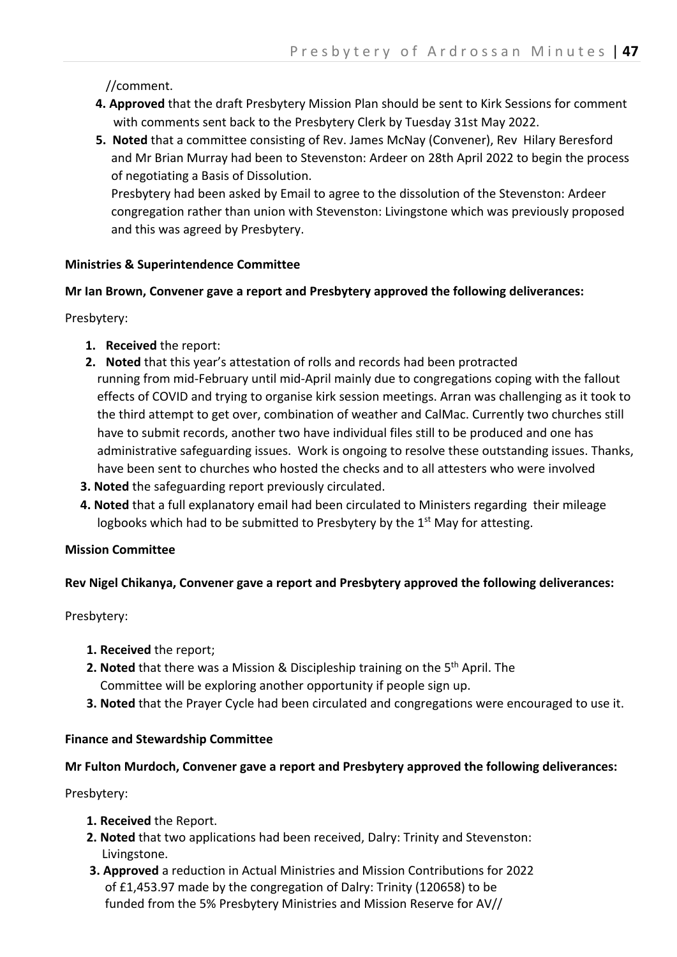## //comment.

- **4. Approved** that the draft Presbytery Mission Plan should be sent to Kirk Sessions for comment with comments sent back to the Presbytery Clerk by Tuesday 31st May 2022.
- **5. Noted** that a committee consisting of Rev. James McNay (Convener), Rev Hilary Beresford and Mr Brian Murray had been to Stevenston: Ardeer on 28th April 2022 to begin the process of negotiating a Basis of Dissolution.

 Presbytery had been asked by Email to agree to the dissolution of the Stevenston: Ardeer congregation rather than union with Stevenston: Livingstone which was previously proposed and this was agreed by Presbytery.

### **Ministries & Superintendence Committee**

### **Mr Ian Brown, Convener gave a report and Presbytery approved the following deliverances:**

Presbytery:

- **1. Received** the report:
- **2. Noted** that this year's attestation of rolls and records had been protracted running from mid-February until mid-April mainly due to congregations coping with the fallout effects of COVID and trying to organise kirk session meetings. Arran was challenging as it took to the third attempt to get over, combination of weather and CalMac. Currently two churches still have to submit records, another two have individual files still to be produced and one has administrative safeguarding issues. Work is ongoing to resolve these outstanding issues. Thanks, have been sent to churches who hosted the checks and to all attesters who were involved
- **3. Noted** the safeguarding report previously circulated.
- **4. Noted** that a full explanatory email had been circulated to Ministers regarding their mileage logbooks which had to be submitted to Presbytery by the  $1<sup>st</sup>$  May for attesting.

# **Mission Committee**

# **Rev Nigel Chikanya, Convener gave a report and Presbytery approved the following deliverances:**

Presbytery:

- **1. Received** the report;
- **2. Noted** that there was a Mission & Discipleship training on the 5<sup>th</sup> April. The Committee will be exploring another opportunity if people sign up.
- **3. Noted** that the Prayer Cycle had been circulated and congregations were encouraged to use it.

### **Finance and Stewardship Committee**

# **Mr Fulton Murdoch, Convener gave a report and Presbytery approved the following deliverances:**

Presbytery:

- **1. Received** the Report.
- **2. Noted** that two applications had been received, Dalry: Trinity and Stevenston: Livingstone.
- **3. Approved** a reduction in Actual Ministries and Mission Contributions for 2022 of £1,453.97 made by the congregation of Dalry: Trinity (120658) to be funded from the 5% Presbytery Ministries and Mission Reserve for AV//